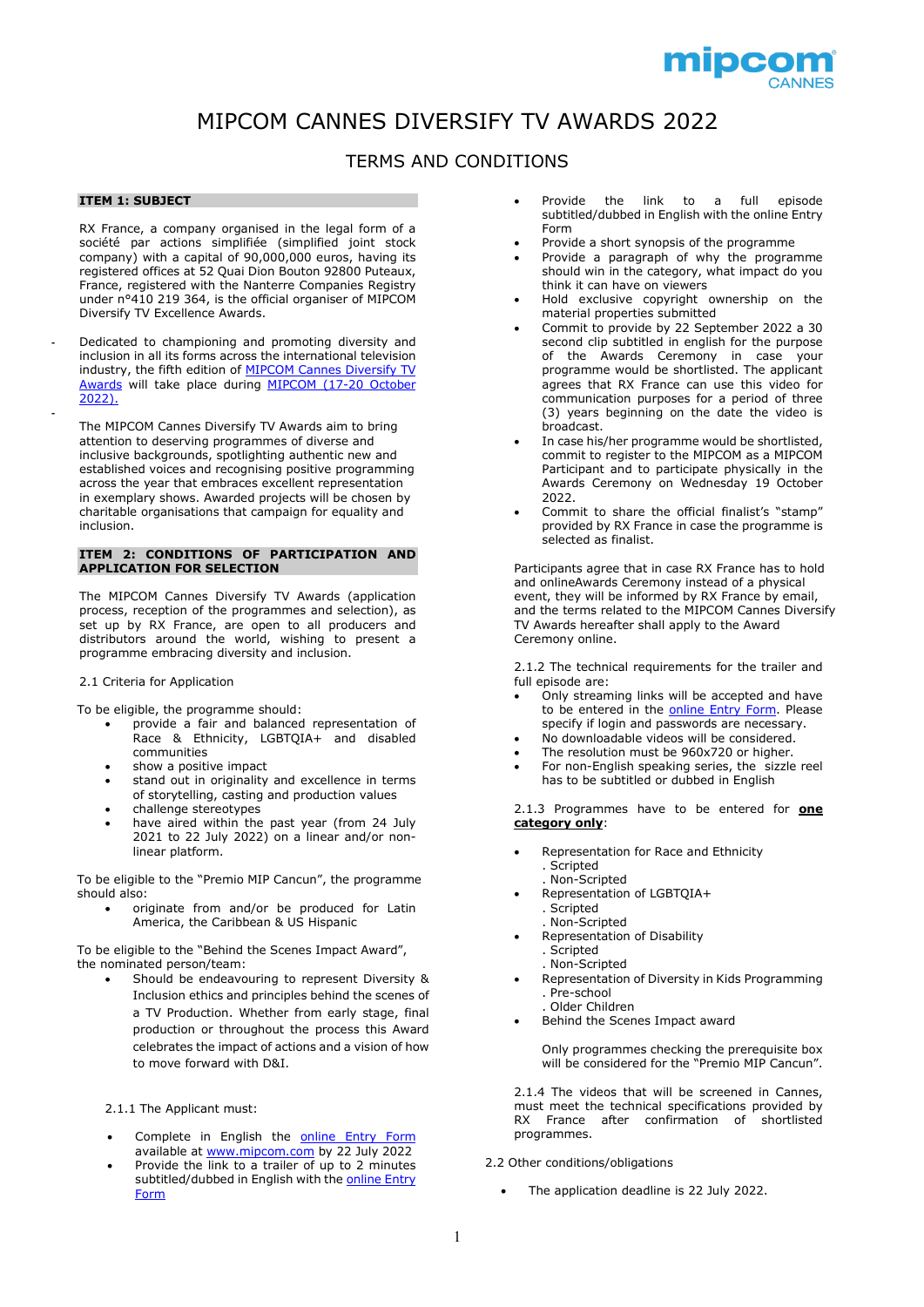

# MIPCOM CANNES DIVERSIFY TV AWARDS 2022

# TERMS AND CONDITIONS

# **ITEM 1: SUBJECT**

**-**

RX France, a company organised in the legal form of a société par actions simplifiée (simplified joint stock company) with a capital of 90,000,000 euros, having its registered offices at 52 Quai Dion Bouton 92800 Puteaux, France, registered with the Nanterre Companies Registry under n°410 219 364, is the official organiser of MIPCOM Diversify TV Excellence Awards.

**-** Dedicated to championing and promoting diversity and inclusion in all its forms across the international television industry, the fifth edition of [MIPCOM Cannes Diversify TV](https://www.mipcom.com/en-gb/conferences-events/diversity-inclusion.html)  [Awards](https://www.mipcom.com/en-gb/conferences-events/diversity-inclusion.html) will take place during [MIPCOM \(17-20](https://www.mipcom.com/en-gb/what-is-mipcom.html) October [2022\).](https://www.mipcom.com/en-gb/what-is-mipcom.html)

The MIPCOM Cannes Diversify TV Awards aim to bring attention to deserving programmes of diverse and inclusive backgrounds, spotlighting authentic new and established voices and recognising positive programming across the year that embraces excellent representation in exemplary shows. Awarded projects will be chosen by charitable organisations that campaign for equality and inclusion.

## **ITEM 2: CONDITIONS OF PARTICIPATION AND APPLICATION FOR SELECTION**

The MIPCOM Cannes Diversify TV Awards (application process, reception of the programmes and selection), as set up by RX France, are open to all producers and distributors around the world, wishing to present a programme embracing diversity and inclusion.

#### 2.1 Criteria for Application

To be eligible, the programme should:

- provide a fair and balanced representation of Race & Ethnicity, LGBTQIA+ and disabled communities
- show a positive impact
- stand out in originality and excellence in terms of storytelling, casting and production values
- challenge stereotypes
- have aired within the past year (from 24 July 2021 to 22 July 2022) on a linear and/or nonlinear platform.

To be eligible to the "Premio MIP Cancun", the programme should also:

• originate from and/or be produced for Latin America, the Caribbean & US Hispanic

To be eligible to the "Behind the Scenes Impact Award", the nominated person/team:

• Should be endeavouring to represent Diversity & Inclusion ethics and principles behind the scenes of a TV Production. Whether from early stage, final production or throughout the process this Award celebrates the impact of actions and a vision of how to move forward with D&I.

2.1.1 The Applicant must:

- Complete in English the [online Entry Form](https://reedmidem.formstack.com/forms/mipcom_cannes_diversify_tv_awards_entry_form_2022) available at [www.mipcom.com](http://www.mipcom.com/) by 22 July 2022
- Provide the link to a trailer of up to 2 minutes subtitled/dubbed in English with the online Entry [Form](https://reedmidem.formstack.com/forms/mipcom_cannes_diversify_tv_awards_entry_form_2022)
- Provide the link to a full episode subtitled/dubbed in English with the online Entry Form
- Provide a short synopsis of the programme
- Provide a paragraph of why the programme should win in the category, what impact do you think it can have on viewers
- Hold exclusive copyright ownership on the material properties submitted
- Commit to provide by 22 September 2022 a 30 second clip subtitled in english for the purpose of the Awards Ceremony in case your programme would be shortlisted. The applicant agrees that RX France can use this video for communication purposes for a period of three (3) years beginning on the date the video is broadcast.
- In case his/her programme would be shortlisted, commit to register to the MIPCOM as a MIPCOM Participant and to participate physically in the Awards Ceremony on Wednesday 19 October 2022.
- Commit to share the official finalist's "stamp" provided by RX France in case the programme is selected as finalist.

Participants agree that in case RX France has to hold and onlineAwards Ceremony instead of a physical event, they will be informed by RX France by email, and the terms related to the MIPCOM Cannes Diversify TV Awards hereafter shall apply to the Award Ceremony online.

2.1.2 The technical requirements for the trailer and full episode are:

- Only streaming links will be accepted and have to be entered in the [online Entry Form.](https://reedmidem.formstack.com/forms/mipcom_cannes_diversify_tv_awards_entry_form_2022) Please specify if login and passwords are necessary.
- No downloadable videos will be considered. The resolution must be 960x720 or higher.
- For non-English speaking series, the sizzle reel has to be subtitled or dubbed in English

2.1.3 Programmes have to be entered for **one category only**:

- Representation for Race and Ethnicity . Scripted
	- . Non-Scripted
- Representation of LGBTQIA+
- . Scripted
- . Non-Scripted
- Representation of Disability . Scripted
	- . Non-Scripted
- Representation of Diversity in Kids Programming . Pre-school
	- . Older Children
- Behind the Scenes Impact award

Only programmes checking the prerequisite box will be considered for the "Premio MIP Cancun".

2.1.4 The videos that will be screened in Cannes, must meet the technical specifications provided by RX France after confirmation of shortlisted programmes.

#### 2.2 Other conditions/obligations

• The application deadline is 22 July 2022.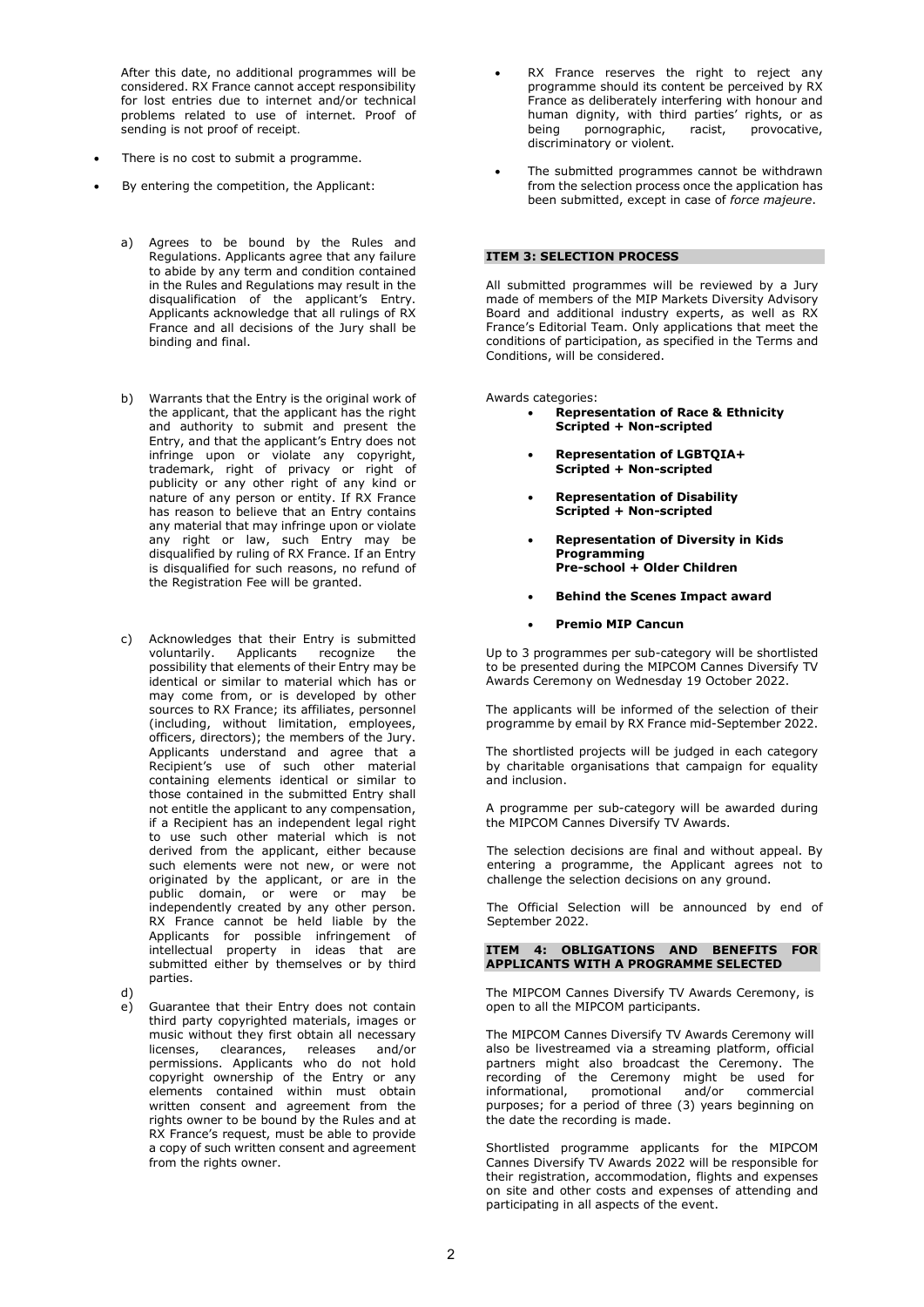After this date, no additional programmes will be considered. RX France cannot accept responsibility for lost entries due to internet and/or technical problems related to use of internet. Proof of sending is not proof of receipt.

- There is no cost to submit a programme.
- By entering the competition, the Applicant:
	- a) Agrees to be bound by the Rules and Regulations. Applicants agree that any failure to abide by any term and condition contained in the Rules and Regulations may result in the disqualification of the applicant's Entry. Applicants acknowledge that all rulings of RX France and all decisions of the Jury shall be binding and final.
	- b) Warrants that the Entry is the original work of the applicant, that the applicant has the right and authority to submit and present the Entry, and that the applicant's Entry does not infringe upon or violate any copyright, trademark, right of privacy or right of publicity or any other right of any kind or nature of any person or entity. If RX France has reason to believe that an Entry contains any material that may infringe upon or violate any right or law, such Entry may be disqualified by ruling of RX France. If an Entry is disqualified for such reasons, no refund of the Registration Fee will be granted.
	- c) Acknowledges that their Entry is submitted<br>voluntarily. Applicants recognize the recognize the possibility that elements of their Entry may be identical or similar to material which has or may come from, or is developed by other sources to RX France; its affiliates, personnel (including, without limitation, employees, officers, directors); the members of the Jury. Applicants understand and agree that a Recipient's use of such other material containing elements identical or similar to those contained in the submitted Entry shall not entitle the applicant to any compensation, if a Recipient has an independent legal right to use such other material which is not derived from the applicant, either because such elements were not new, or were not originated by the applicant, or are in the public domain, or were or may be independently created by any other person. RX France cannot be held liable by the Applicants for possible infringement of intellectual property in ideas that are submitted either by themselves or by third parties.
	- d)

e) Guarantee that their Entry does not contain third party copyrighted materials, images or music without they first obtain all necessary<br>licenses, clearances, releases and/or clearances, releases and/or permissions. Applicants who do not hold copyright ownership of the Entry or any elements contained within must obtain written consent and agreement from the rights owner to be bound by the Rules and at RX France's request, must be able to provide a copy of such written consent and agreement from the rights owner.

- RX France reserves the right to reject any programme should its content be perceived by RX France as deliberately interfering with honour and human dignity, with third parties' rights, or as being pornographic, racist, provocative, discriminatory or violent.
- The submitted programmes cannot be withdrawn from the selection process once the application has been submitted, except in case of *force majeure*.

# **ITEM 3: SELECTION PROCESS**

All submitted programmes will be reviewed by a Jury made of members of the MIP Markets Diversity Advisory Board and additional industry experts, as well as RX France's Editorial Team. Only applications that meet the conditions of participation, as specified in the Terms and Conditions, will be considered.

Awards categories:

- **Representation of Race & Ethnicity Scripted + Non-scripted**
- **Representation of LGBTQIA+ Scripted + Non-scripted**
- **Representation of Disability Scripted + Non-scripted**
- **Representation of Diversity in Kids Programming Pre-school + Older Children**
- **Behind the Scenes Impact award**
- **Premio MIP Cancun**

Up to 3 programmes per sub-category will be shortlisted to be presented during the MIPCOM Cannes Diversify TV Awards Ceremony on Wednesday 19 October 2022.

The applicants will be informed of the selection of their programme by email by RX France mid-September 2022.

The shortlisted projects will be judged in each category by charitable organisations that campaign for equality and inclusion.

A programme per sub-category will be awarded during the MIPCOM Cannes Diversify TV Awards.

The selection decisions are final and without appeal. By entering a programme, the Applicant agrees not to challenge the selection decisions on any ground.

The Official Selection will be announced by end of September 2022.

#### **ITEM 4: OBLIGATIONS AND BENEFITS FOR APPLICANTS WITH A PROGRAMME SELECTED**

The MIPCOM Cannes Diversify TV Awards Ceremony, is open to all the MIPCOM participants.

The MIPCOM Cannes Diversify TV Awards Ceremony will also be livestreamed via a streaming platform, official partners might also broadcast the Ceremony. The recording of the Ceremony might be used for informational, promotional and/or commercial purposes; for a period of three (3) years beginning on the date the recording is made.

Shortlisted programme applicants for the MIPCOM Cannes Diversify TV Awards 2022 will be responsible for their registration, accommodation, flights and expenses on site and other costs and expenses of attending and participating in all aspects of the event.